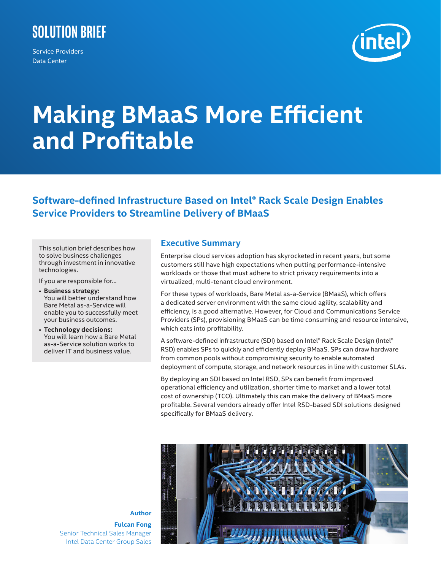# **Solution Brief**

Service Providers Data Center



# **Making BMaaS More Efficient and Profitable**

# **Software-defined Infrastructure Based on Intel® Rack Scale Design Enables Service Providers to Streamline Delivery of BMaaS**

This solution brief describes how to solve business challenges through investment in innovative technologies.

If you are responsible for…

- **Business strategy:**  You will better understand how Bare Metal as-a-Service will enable you to successfully meet your business outcomes.
- **Technology decisions:**  You will learn how a Bare Metal as-a-Service solution works to deliver IT and business value.

# **Executive Summary**

Enterprise cloud services adoption has skyrocketed in recent years, but some customers still have high expectations when putting performance-intensive workloads or those that must adhere to strict privacy requirements into a virtualized, multi-tenant cloud environment.

For these types of workloads, Bare Metal as-a-Service (BMaaS), which offers a dedicated server environment with the same cloud agility, scalability and efficiency, is a good alternative. However, for Cloud and Communications Service Providers (SPs), provisioning BMaaS can be time consuming and resource intensive, which eats into profitability.

A software-defined infrastructure (SDI) based on Intel® Rack Scale Design (Intel® RSD) enables SPs to quickly and efficiently deploy BMaaS. SPs can draw hardware from common pools without compromising security to enable automated deployment of compute, storage, and network resources in line with customer SLAs.

By deploying an SDI based on Intel RSD, SPs can benefit from improved operational efficiency and utilization, shorter time to market and a lower total cost of ownership (TCO). Ultimately this can make the delivery of BMaaS more profitable. Several vendors already offer Intel RSD-based SDI solutions designed specifically for BMaaS delivery.



**Fulcan Fong** Senior Technical Sales Manager Intel Data Center Group Sales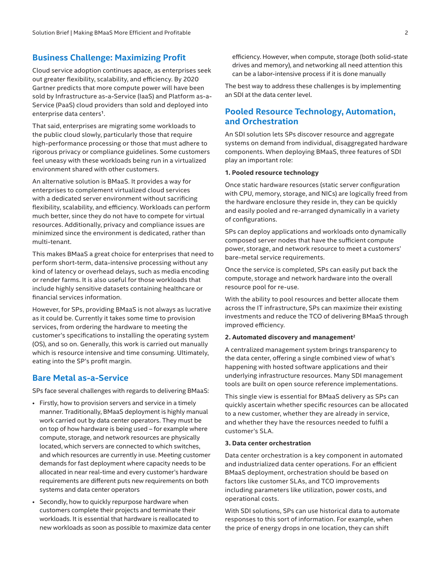### **Business Challenge: Maximizing Profit**

Cloud service adoption continues apace, as enterprises seek out greater flexibility, scalability, and efficiency. By 2020 Gartner predicts that more compute power will have been sold by Infrastructure as-a-Service (IaaS) and Platform as-a-Service (PaaS) cloud providers than sold and deployed into enterprise data centers**<sup>1</sup>**.

That said, enterprises are migrating some workloads to the public cloud slowly, particularly those that require high-performance processing or those that must adhere to rigorous privacy or compliance guidelines. Some customers feel uneasy with these workloads being run in a virtualized environment shared with other customers.

An alternative solution is BMaaS. It provides a way for enterprises to complement virtualized cloud services with a dedicated server environment without sacrificing flexibility, scalability, and efficiency. Workloads can perform much better, since they do not have to compete for virtual resources. Additionally, privacy and compliance issues are minimized since the environment is dedicated, rather than multi-tenant.

This makes BMaaS a great choice for enterprises that need to perform short-term, data-intensive processing without any kind of latency or overhead delays, such as media encoding or render farms. It is also useful for those workloads that include highly sensitive datasets containing healthcare or financial services information.

However, for SPs, providing BMaaS is not always as lucrative as it could be. Currently it takes some time to provision services, from ordering the hardware to meeting the customer's specifications to installing the operating system (OS), and so on. Generally, this work is carried out manually which is resource intensive and time consuming. Ultimately, eating into the SP's profit margin.

## **Bare Metal as-a-Service**

SPs face several challenges with regards to delivering BMaaS:

- Firstly, how to provision servers and service in a timely manner. Traditionally, BMaaS deployment is highly manual work carried out by data center operators. They must be on top of how hardware is being used – for example where compute, storage, and network resources are physically located, which servers are connected to which switches, and which resources are currently in use. Meeting customer demands for fast deployment where capacity needs to be allocated in near real-time and every customer's hardware requirements are different puts new requirements on both systems and data center operators
- Secondly, how to quickly repurpose hardware when customers complete their projects and terminate their workloads. It is essential that hardware is reallocated to new workloads as soon as possible to maximize data center

efficiency. However, when compute, storage (both solid-state drives and memory), and networking all need attention this can be a labor-intensive process if it is done manually

The best way to address these challenges is by implementing an SDI at the data center level.

# **Pooled Resource Technology, Automation, and Orchestration**

An SDI solution lets SPs discover resource and aggregate systems on demand from individual, disaggregated hardware components. When deploying BMaaS, three features of SDI play an important role:

#### **1. Pooled resource technology**

Once static hardware resources (static server configuration with CPU, memory, storage, and NICs) are logically freed from the hardware enclosure they reside in, they can be quickly and easily pooled and re-arranged dynamically in a variety of configurations.

SPs can deploy applications and workloads onto dynamically composed server nodes that have the sufficient compute power, storage, and network resource to meet a customers' bare-metal service requirements.

Once the service is completed, SPs can easily put back the compute, storage and network hardware into the overall resource pool for re-use.

With the ability to pool resources and better allocate them across the IT infrastructure, SPs can maximize their existing investments and reduce the TCO of delivering BMaaS through improved efficiency.

#### **2. Automated discovery and management2**

A centralized management system brings transparency to the data center, offering a single combined view of what's happening with hosted software applications and their underlying infrastructure resources. Many SDI management tools are built on open source reference implementations.

This single view is essential for BMaaS delivery as SPs can quickly ascertain whether specific resources can be allocated to a new customer, whether they are already in service, and whether they have the resources needed to fulfil a customer's SLA.

#### **3. Data center orchestration**

Data center orchestration is a key component in automated and industrialized data center operations. For an efficient BMaaS deployment, orchestration should be based on factors like customer SLAs, and TCO improvements including parameters like utilization, power costs, and operational costs.

With SDI solutions, SPs can use historical data to automate responses to this sort of information. For example, when the price of energy drops in one location, they can shift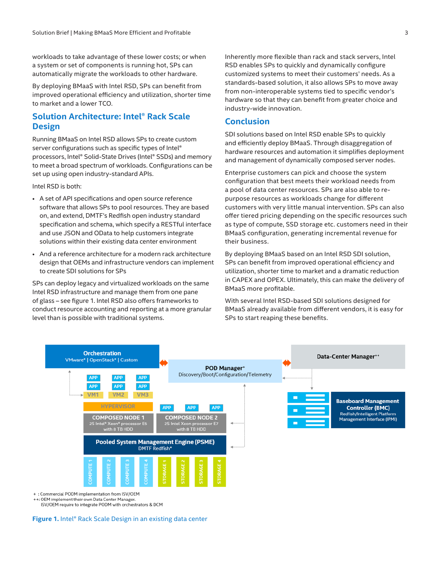workloads to take advantage of these lower costs; or when a system or set of components is running hot, SPs can automatically migrate the workloads to other hardware.

By deploying BMaaS with Intel RSD, SPs can benefit from improved operational efficiency and utilization, shorter time to market and a lower TCO.

# **Solution Architecture: Intel® Rack Scale Design**

Running BMaaS on Intel RSD allows SPs to create custom server configurations such as specific types of Intel® processors, Intel® Solid-State Drives (Intel® SSDs) and memory to meet a broad spectrum of workloads. Configurations can be set up using open industry-standard APIs.

Intel RSD is both:

- A set of API specifications and open source reference software that allows SPs to pool resources. They are based on, and extend, DMTF's Redfish open industry standard specification and schema, which specify a RESTful interface and use JSON and OData to help customers integrate solutions within their existing data center environment
- And a reference architecture for a modern rack architecture design that OEMs and infrastructure vendors can implement to create SDI solutions for SPs

SPs can deploy legacy and virtualized workloads on the same Intel RSD infrastructure and manage them from one pane of glass – see figure 1. Intel RSD also offers frameworks to conduct resource accounting and reporting at a more granular level than is possible with traditional systems.

Inherently more flexible than rack and stack servers, Intel RSD enables SPs to quickly and dynamically configure customized systems to meet their customers' needs. As a standards-based solution, it also allows SPs to move away from non-interoperable systems tied to specific vendor's hardware so that they can benefit from greater choice and industry-wide innovation.

#### **Conclusion**

SDI solutions based on Intel RSD enable SPs to quickly and efficiently deploy BMaaS. Through disaggregation of hardware resources and automation it simplifies deployment and management of dynamically composed server nodes.

Enterprise customers can pick and choose the system configuration that best meets their workload needs from a pool of data center resources. SPs are also able to repurpose resources as workloads change for different customers with very little manual intervention. SPs can also offer tiered pricing depending on the specific resources such as type of compute, SSD storage etc. customers need in their BMaaS configuration, generating incremental revenue for their business.

By deploying BMaaS based on an Intel RSD SDI solution, SPs can benefit from improved operational efficiency and utilization, shorter time to market and a dramatic reduction in CAPEX and OPEX. Ultimately, this can make the delivery of BMaaS more profitable.

With several Intel RSD-based SDI solutions designed for BMaaS already available from different vendors, it is easy for SPs to start reaping these benefits.



: Commercial PODM implementation from ISV/OEM

++: OEM implement their own Data Center Manager.

ISV/OEM require to integrate PODM with orchestrators & DCM

**Figure 1.** Intel® Rack Scale Design in an existing data center